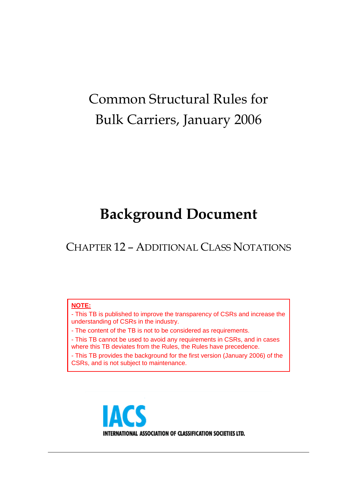# Common Structural Rules for Bulk Carriers, January 2006

## **Background Document**

CHAPTER 12 – ADDITIONAL CLASS NOTATIONS

#### **NOTE:**

- This TB is published to improve the transparency of CSRs and increase the understanding of CSRs in the industry.

- The content of the TB is not to be considered as requirements.

- This TB cannot be used to avoid any requirements in CSRs, and in cases where this TB deviates from the Rules, the Rules have precedence.

- This TB provides the background for the first version (January 2006) of the CSRs, and is not subject to maintenance.

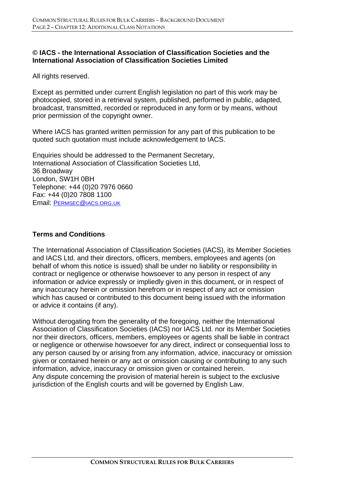#### **© IACS - the International Association of Classification Societies and the International Association of Classification Societies Limited**

All rights reserved.

Except as permitted under current English legislation no part of this work may be photocopied, stored in a retrieval system, published, performed in public, adapted, broadcast, transmitted, recorded or reproduced in any form or by means, without prior permission of the copyright owner.

Where IACS has granted written permission for any part of this publication to be quoted such quotation must include acknowledgement to IACS.

Enquiries should be addressed to the Permanent Secretary, International Association of Classification Societies Ltd, 36 Broadway London, SW1H 0BH Telephone: +44 (0)20 7976 0660 Fax: +44 (0)20 7808 1100 Email: PERMSEC@IACS.ORG.UK

#### **Terms and Conditions**

The International Association of Classification Societies (IACS), its Member Societies and IACS Ltd. and their directors, officers, members, employees and agents (on behalf of whom this notice is issued) shall be under no liability or responsibility in contract or negligence or otherwise howsoever to any person in respect of any information or advice expressly or impliedly given in this document, or in respect of any inaccuracy herein or omission herefrom or in respect of any act or omission which has caused or contributed to this document being issued with the information or advice it contains (if any).

Without derogating from the generality of the foregoing, neither the International Association of Classification Societies (IACS) nor IACS Ltd. nor its Member Societies nor their directors, officers, members, employees or agents shall be liable in contract or negligence or otherwise howsoever for any direct, indirect or consequential loss to any person caused by or arising from any information, advice, inaccuracy or omission given or contained herein or any act or omission causing or contributing to any such information, advice, inaccuracy or omission given or contained herein. Any dispute concerning the provision of material herein is subject to the exclusive jurisdiction of the English courts and will be governed by English Law.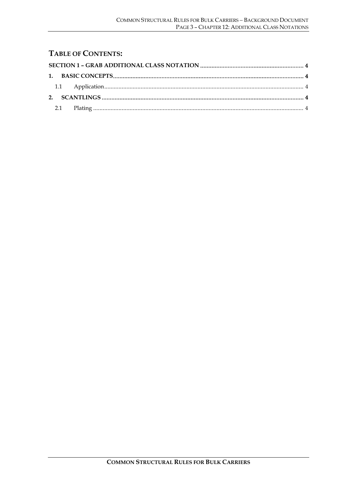#### **TABLE OF CONTENTS:**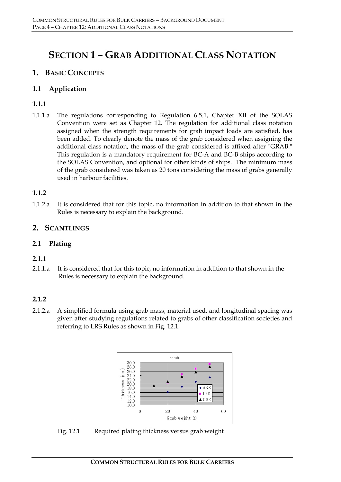### **SECTION 1 – GRAB ADDITIONAL CLASS NOTATION**

#### **1. BASIC CONCEPTS**

#### **1.1 Application**

#### **1.1.1**

1.1.1.a The regulations corresponding to Regulation 6.5.1, Chapter XII of the SOLAS Convention were set as Chapter 12. The regulation for additional class notation assigned when the strength requirements for grab impact loads are satisfied, has been added. To clearly denote the mass of the grab considered when assigning the additional class notation, the mass of the grab considered is affixed after "GRAB." This regulation is a mandatory requirement for BC-A and BC-B ships according to the SOLAS Convention, and optional for other kinds of ships. The minimum mass of the grab considered was taken as 20 tons considering the mass of grabs generally used in harbour facilities.

#### **1.1.2**

1.1.2.a It is considered that for this topic, no information in addition to that shown in the Rules is necessary to explain the background.

#### **2. SCANTLINGS**

#### **2.1 Plating**

#### **2.1.1**

2.1.1.a It is considered that for this topic, no information in addition to that shown in the Rules is necessary to explain the background.

#### **2.1.2**

2.1.2.a A simplified formula using grab mass, material used, and longitudinal spacing was given after studying regulations related to grabs of other classification societies and referring to LRS Rules as shown in Fig. 12.1.



Fig. 12.1 Required plating thickness versus grab weight